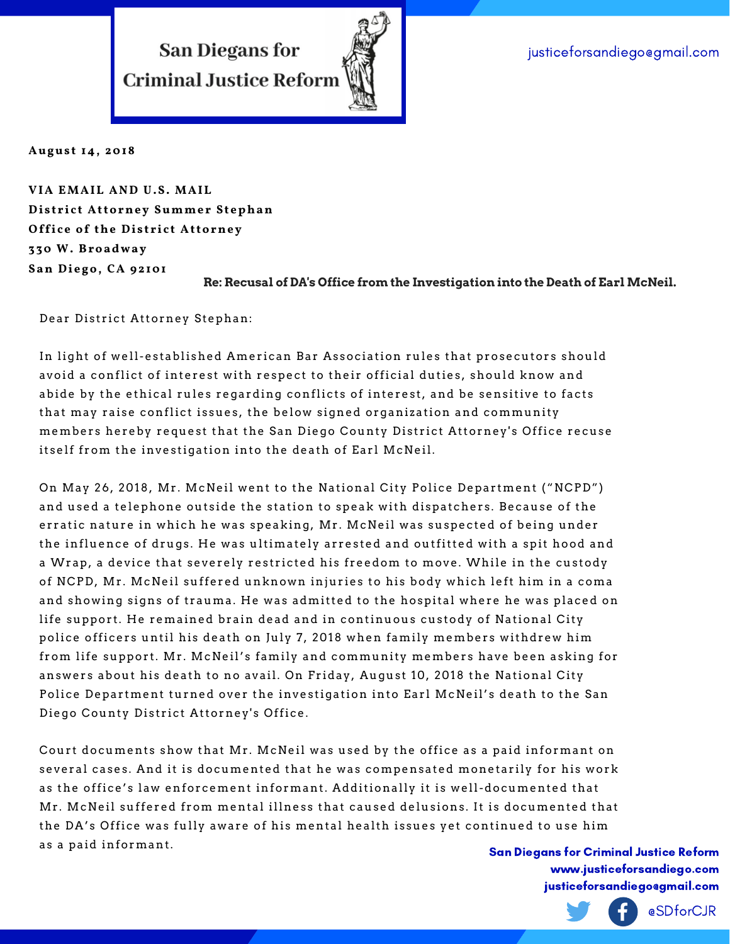justiceforsandiego@gmail.com

**San Diegans for Criminal Justice Reform** 



**Augus t 14, 2018**

**VIA EMAIL AND U.S. MAIL Di s t r i c t Attorney Summe r St ephan Offi c e of the Di s t r i c t Attorney 3 30 W. Broadway San Di ego, CA 92101**

**Re: Recusal of DA's Office from the Investigation into the Death of Earl McNeil.**

Dear District Attorney Stephan:

In light of well-established American Bar Association rules that prosecutors should avoid a conflict of interest with respect to their official duties, should know and abide by the ethical rules regarding conflicts of interest, and be sensitive to facts that may raise conflict issues, the below signed organization and community members hereby request that the San Diego County District Attorney's Office recuse itself from the investigation into the death of Earl McNeil.

On May 26, 2018, Mr. McNeil went to the National City Police Department ("NCPD") and used a telephone outside the station to speak with dispatchers. Because of the er ratic nature in which he was speaking, Mr . McNeil was suspected of being under the influence of drugs. He was ultimately arrested and outfitted with a spit hood and a Wrap, a device that severely restricted his freedom to move. While in the custody of NCPD, Mr. McNeil suffered unknown injuries to his body which left him in a coma and showing signs of trauma. He was admitted to the hospital where he was placed on life support. He remained brain dead and in continuous custody of National City police officers until his death on July 7, 2018 when family members withdrew him from life support. Mr. McNeil's family and community members have been asking for answers about his death to no avail. On Friday, August 10, 2018 the National City Police Department turned over the investigation into Earl McNeil's death to the San Diego County District Attorney's Office.

Court documents show that Mr. McNeil was used by the office as a paid informant on several cases. And it is documented that he was compensated monetarily for his work as the office's law enforcement informant. Additionally it is well-documented that Mr. McNeil suffered from mental illness that caused delusions. It is documented that the DA's Office was fully aware of his mental health issues yet continued to use him as a paid informant.

San Diegans for Criminal Justice Reform www.justiceforsandiego.com justiceforsandiego@gmail.com

@SDforCJR